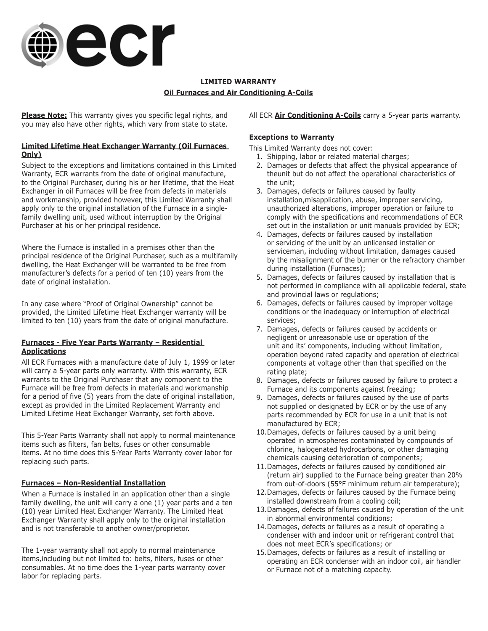

# **LIMITED WARRANTY Oil Furnaces and Air Conditioning A-Coils**

**Please Note:** This warranty gives you specific legal rights, and you may also have other rights, which vary from state to state.

## **Limited Lifetime Heat Exchanger Warranty (Oil Furnaces Only)**

Subject to the exceptions and limitations contained in this Limited Warranty, ECR warrants from the date of original manufacture, to the Original Purchaser, during his or her lifetime, that the Heat Exchanger in oil Furnaces will be free from defects in materials and workmanship, provided however, this Limited Warranty shall apply only to the original installation of the Furnace in a singlefamily dwelling unit, used without interruption by the Original Purchaser at his or her principal residence.

Where the Furnace is installed in a premises other than the principal residence of the Original Purchaser, such as a multifamily dwelling, the Heat Exchanger will be warranted to be free from manufacturer's defects for a period of ten (10) years from the date of original installation.

In any case where "Proof of Original Ownership" cannot be provided, the Limited Lifetime Heat Exchanger warranty will be limited to ten (10) years from the date of original manufacture.

## **Furnaces - Five Year Parts Warranty – Residential Applications**

All ECR Furnaces with a manufacture date of July 1, 1999 or later will carry a 5-year parts only warranty. With this warranty, ECR warrants to the Original Purchaser that any component to the Furnace will be free from defects in materials and workmanship for a period of five (5) years from the date of original installation, except as provided in the Limited Replacement Warranty and Limited Lifetime Heat Exchanger Warranty, set forth above.

This 5-Year Parts Warranty shall not apply to normal maintenance items such as filters, fan belts, fuses or other consumable items. At no time does this 5-Year Parts Warranty cover labor for replacing such parts.

## **Furnaces – Non-Residential Installation**

When a Furnace is installed in an application other than a single family dwelling, the unit will carry a one (1) year parts and a ten (10) year Limited Heat Exchanger Warranty. The Limited Heat Exchanger Warranty shall apply only to the original installation and is not transferable to another owner/proprietor.

The 1-year warranty shall not apply to normal maintenance items,including but not limited to: belts, filters, fuses or other consumables. At no time does the 1-year parts warranty cover labor for replacing parts.

## All ECR **Air Conditioning A-Coils** carry a 5-year parts warranty.

## **Exceptions to Warranty**

This Limited Warranty does not cover:

- 1. Shipping, labor or related material charges;
- 2. Damages or defects that affect the physical appearance of theunit but do not affect the operational characteristics of the unit;
- 3. Damages, defects or failures caused by faulty installation,misapplication, abuse, improper servicing, unauthorized alterations, improper operation or failure to comply with the specifications and recommendations of ECR set out in the installation or unit manuals provided by ECR;
- 4. Damages, defects or failures caused by installation or servicing of the unit by an unlicensed installer or serviceman, including without limitation, damages caused by the misalignment of the burner or the refractory chamber during installation (Furnaces);
- 5. Damages, defects or failures caused by installation that is not performed in compliance with all applicable federal, state and provincial laws or regulations;
- 6. Damages, defects or failures caused by improper voltage conditions or the inadequacy or interruption of electrical services;
- 7. Damages, defects or failures caused by accidents or negligent or unreasonable use or operation of the unit and its' components, including without limitation, operation beyond rated capacity and operation of electrical components at voltage other than that specified on the rating plate;
- 8. Damages, defects or failures caused by failure to protect a Furnace and its components against freezing;
- 9. Damages, defects or failures caused by the use of parts not supplied or designated by ECR or by the use of any parts recommended by ECR for use in a unit that is not manufactured by ECR;
- 10.Damages, defects or failures caused by a unit being operated in atmospheres contaminated by compounds of chlorine, halogenated hydrocarbons, or other damaging chemicals causing deterioration of components;
- 11.Damages, defects or failures caused by conditioned air (return air) supplied to the Furnace being greater than 20% from out-of-doors (55°F minimum return air temperature);
- 12.Damages, defects or failures caused by the Furnace being installed downstream from a cooling coil;
- 13.Damages, defects of failures caused by operation of the unit in abnormal environmental conditions;
- 14.Damages, defects or failures as a result of operating a condenser with and indoor unit or refrigerant control that does not meet ECR's specifications; or
- 15.Damages, defects or failures as a result of installing or operating an ECR condenser with an indoor coil, air handler or Furnace not of a matching capacity.